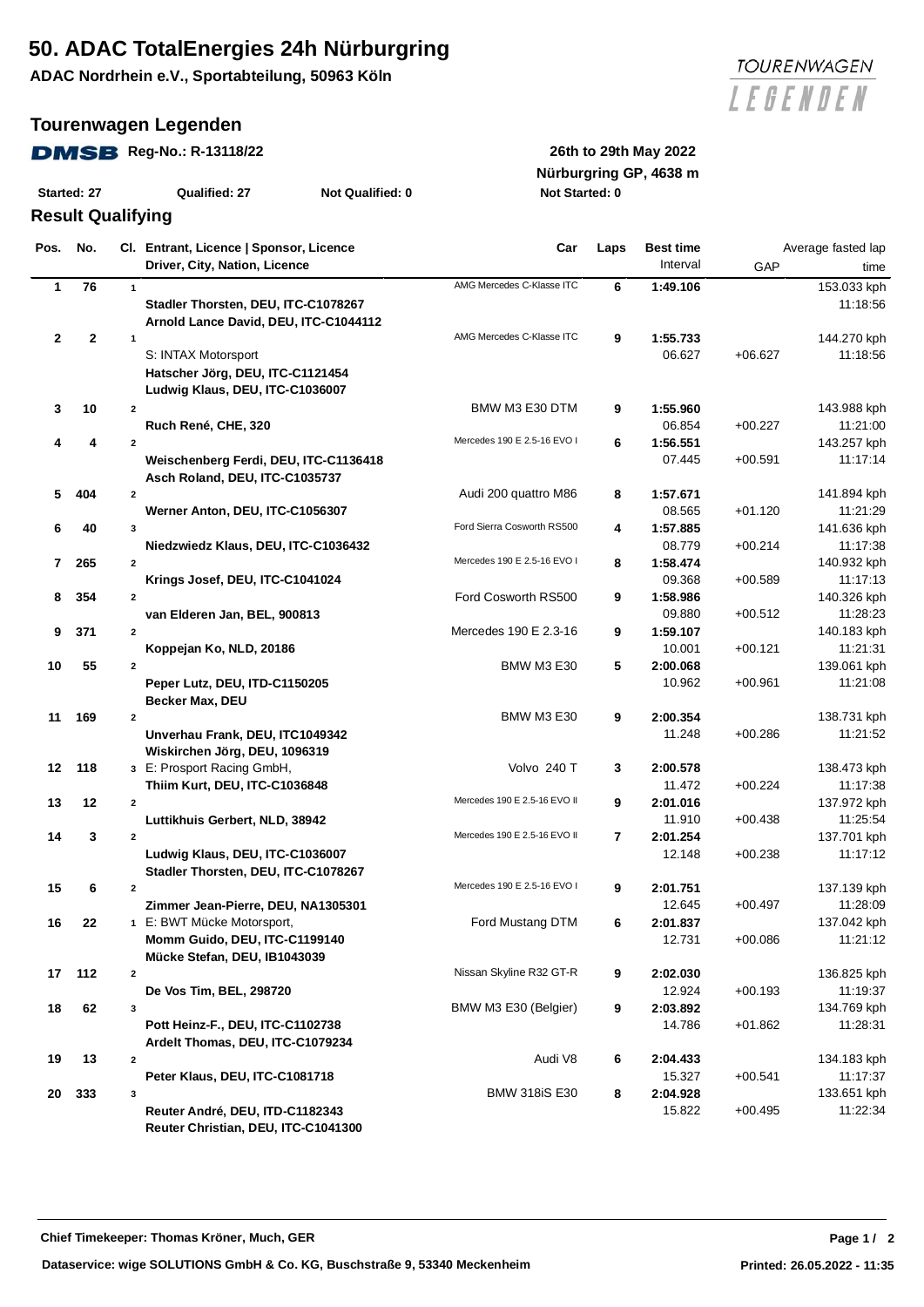# **50. ADAC TotalEnergies 24h Nürburgring**

**ADAC Nordrhein e.V., Sportabteilung, 50963 Köln**

### **Tourenwagen Legenden**

## **DMSB** Reg-No.: R-13118/22 26th to 29th May 2022

| Started: 27 | Qualified: 27 | <b>Not Qualified: 0</b> |
|-------------|---------------|-------------------------|

## **Result Qualifying**

**Nürburgring GP, 4638 m Started: 27 Qualified: 27 Not Qualified: 0 Not Started: 0**

| Pos.         | No.          |              | Cl. Entrant, Licence   Sponsor, Licence | Car                          | Laps | <b>Best time</b> |           | Average fasted lap |
|--------------|--------------|--------------|-----------------------------------------|------------------------------|------|------------------|-----------|--------------------|
|              |              |              | Driver, City, Nation, Licence           |                              |      | Interval         | GAP       | time               |
| 1            | 76           | $\mathbf{1}$ |                                         | AMG Mercedes C-Klasse ITC    | 6    | 1:49.106         |           | 153.033 kph        |
|              |              |              | Stadler Thorsten, DEU, ITC-C1078267     |                              |      |                  |           | 11:18:56           |
|              |              |              | Arnold Lance David, DEU, ITC-C1044112   |                              |      |                  |           |                    |
| $\mathbf{2}$ | $\mathbf{2}$ | 1            |                                         | AMG Mercedes C-Klasse ITC    | 9    | 1:55.733         |           | 144.270 kph        |
|              |              |              | S: INTAX Motorsport                     |                              |      | 06.627           | $+06.627$ | 11:18:56           |
|              |              |              | Hatscher Jörg, DEU, ITC-C1121454        |                              |      |                  |           |                    |
|              |              |              | Ludwig Klaus, DEU, ITC-C1036007         |                              |      |                  |           |                    |
| 3            | 10           | $\mathbf{2}$ |                                         | BMW M3 E30 DTM               | 9    | 1:55.960         |           | 143.988 kph        |
|              |              |              | Ruch René, CHE, 320                     |                              |      | 06.854           | $+00.227$ | 11:21:00           |
| 4            | 4            | $\mathbf{2}$ |                                         | Mercedes 190 E 2.5-16 EVO I  | 6    | 1:56.551         |           | 143.257 kph        |
|              |              |              | Weischenberg Ferdi, DEU, ITC-C1136418   |                              |      | 07.445           | $+00.591$ | 11:17:14           |
|              |              |              | Asch Roland, DEU, ITC-C1035737          |                              |      |                  |           |                    |
| 5            | 404          | $\mathbf{2}$ |                                         | Audi 200 quattro M86         | 8    | 1:57.671         |           | 141.894 kph        |
|              |              |              | Werner Anton, DEU, ITC-C1056307         |                              |      | 08.565           | $+01.120$ | 11:21:29           |
| 6            | 40           | 3            |                                         | Ford Sierra Cosworth RS500   | 4    | 1:57.885         |           | 141.636 kph        |
|              |              |              | Niedzwiedz Klaus, DEU, ITC-C1036432     |                              |      | 08.779           | $+00.214$ | 11:17:38           |
| 7            | 265          | $\mathbf{2}$ |                                         | Mercedes 190 E 2.5-16 EVO I  | 8    | 1:58.474         |           | 140.932 kph        |
|              |              |              | Krings Josef, DEU, ITC-C1041024         |                              |      | 09.368           | $+00.589$ | 11:17:13           |
| 8            | 354          | $\mathbf{2}$ |                                         | Ford Cosworth RS500          | 9    | 1:58.986         |           | 140.326 kph        |
|              |              |              | van Elderen Jan, BEL, 900813            |                              |      | 09.880           | $+00.512$ | 11:28:23           |
| 9            | 371          | $\mathbf{2}$ |                                         | Mercedes 190 E 2.3-16        | 9    | 1:59.107         |           | 140.183 kph        |
|              |              |              | Koppejan Ko, NLD, 20186                 |                              |      | 10.001           | $+00.121$ | 11:21:31           |
| 10           | 55           | $\mathbf{2}$ |                                         | <b>BMW M3 E30</b>            | 5    | 2:00.068         |           | 139.061 kph        |
|              |              |              | Peper Lutz, DEU, ITD-C1150205           |                              |      | 10.962           | $+00.961$ | 11:21:08           |
|              |              |              | <b>Becker Max, DEU</b>                  |                              |      |                  |           |                    |
| 11           | 169          | $\mathbf{2}$ |                                         | <b>BMW M3 E30</b>            | 9    | 2:00.354         |           | 138.731 kph        |
|              |              |              | Unverhau Frank, DEU, ITC1049342         |                              |      | 11.248           | $+00.286$ | 11:21:52           |
|              |              |              | Wiskirchen Jörg, DEU, 1096319           |                              |      |                  |           |                    |
| 12           | 118          |              | 3 E: Prosport Racing GmbH,              | Volvo 240 T                  | 3    | 2:00.578         |           | 138.473 kph        |
|              |              |              | Thiim Kurt, DEU, ITC-C1036848           |                              |      | 11.472           | $+00.224$ | 11:17:38           |
| 13           | 12           | $\mathbf{2}$ |                                         | Mercedes 190 E 2.5-16 EVO II | 9    | 2:01.016         |           | 137.972 kph        |
|              |              |              | Luttikhuis Gerbert, NLD, 38942          |                              |      | 11.910           | $+00.438$ | 11:25:54           |
| 14           | 3            | $\mathbf{2}$ |                                         | Mercedes 190 E 2.5-16 EVO II | 7    | 2:01.254         |           | 137.701 kph        |
|              |              |              | Ludwig Klaus, DEU, ITC-C1036007         |                              |      | 12.148           | $+00.238$ | 11:17:12           |
|              |              |              | Stadler Thorsten, DEU, ITC-C1078267     |                              |      |                  |           |                    |
| 15           | 6            | $\mathbf{2}$ |                                         | Mercedes 190 E 2.5-16 EVO I  | 9    | 2:01.751         |           | 137.139 kph        |
|              |              |              | Zimmer Jean-Pierre, DEU, NA1305301      |                              |      | 12.645           | $+00.497$ | 11:28:09           |
| 16           | 22           |              | 1 E: BWT Mücke Motorsport,              | Ford Mustang DTM             | 6    | 2:01.837         |           | 137.042 kph        |
|              |              |              | Momm Guido, DEU, ITC-C1199140           |                              |      | 12.731           | $+00.086$ | 11:21:12           |
|              |              |              | Mücke Stefan, DEU, IB1043039            |                              |      |                  |           |                    |
| 17           | 112          | $\mathbf{2}$ |                                         | Nissan Skyline R32 GT-R      | 9    | 2:02.030         |           | 136.825 kph        |
|              |              |              | De Vos Tim, BEL, 298720                 |                              |      | 12.924           | $+00.193$ | 11:19:37           |
| 18           | 62           | 3            |                                         | BMW M3 E30 (Belgier)         | 9    | 2:03.892         |           | 134.769 kph        |
|              |              |              | Pott Heinz-F., DEU, ITC-C1102738        |                              |      | 14.786           | +01.862   | 11:28:31           |
|              |              |              | Ardelt Thomas, DEU, ITC-C1079234        |                              |      |                  |           |                    |
| 19           | 13           | $\mathbf{2}$ |                                         | Audi V8                      | 6    | 2:04.433         |           | 134.183 kph        |
|              |              |              | Peter Klaus, DEU, ITC-C1081718          |                              |      | 15.327           | $+00.541$ | 11:17:37           |
| 20           | 333          | 3            |                                         | <b>BMW 318iS E30</b>         | 8    | 2:04.928         |           | 133.651 kph        |
|              |              |              | Reuter André, DEU, ITD-C1182343         |                              |      | 15.822           | $+00.495$ | 11:22:34           |
|              |              |              | Reuter Christian, DEU, ITC-C1041300     |                              |      |                  |           |                    |